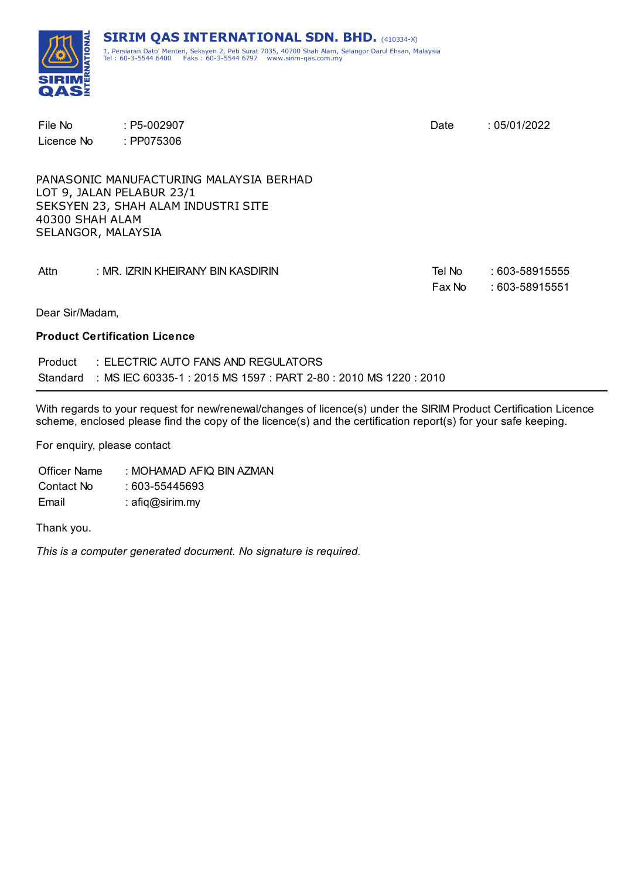

| File No<br>Licence No                 | $: P5-002907$<br>: PP075306                                                                                 | Date             | :05/01/2022                      |
|---------------------------------------|-------------------------------------------------------------------------------------------------------------|------------------|----------------------------------|
| 40300 SHAH ALAM<br>SELANGOR, MALAYSIA | PANASONIC MANUFACTURING MALAYSIA BERHAD<br>LOT 9, JALAN PELABUR 23/1<br>SEKSYEN 23, SHAH ALAM INDUSTRI SITE |                  |                                  |
| Attn                                  | : MR. IZRIN KHEIRANY BIN KASDIRIN                                                                           | Tel No<br>Fax No | : 603-58915555<br>: 603-58915551 |
| Dear Sir/Madam,                       |                                                                                                             |                  |                                  |

#### **Product Certification Licence**

| Product | $\pm$ ELECTRIC AUTO FANS AND REGULATORS.                                   |
|---------|----------------------------------------------------------------------------|
|         | Standard : MS IEC 60335-1 : 2015 MS 1597 : PART 2-80 : 2010 MS 1220 : 2010 |

With regards to your request for new/renewal/changes of licence(s) under the SIRIM Product Certification Licence scheme, enclosed please find the copy of the licence(s) and the certification report(s) for your safe keeping.

For enquiry, please contact

Officer Name : MOHAMAD AFIQ BIN AZMAN Contact No : 603-55445693 Email : afiq@sirim.my

Thank you.

*This is a computer generated document. No signature is required.*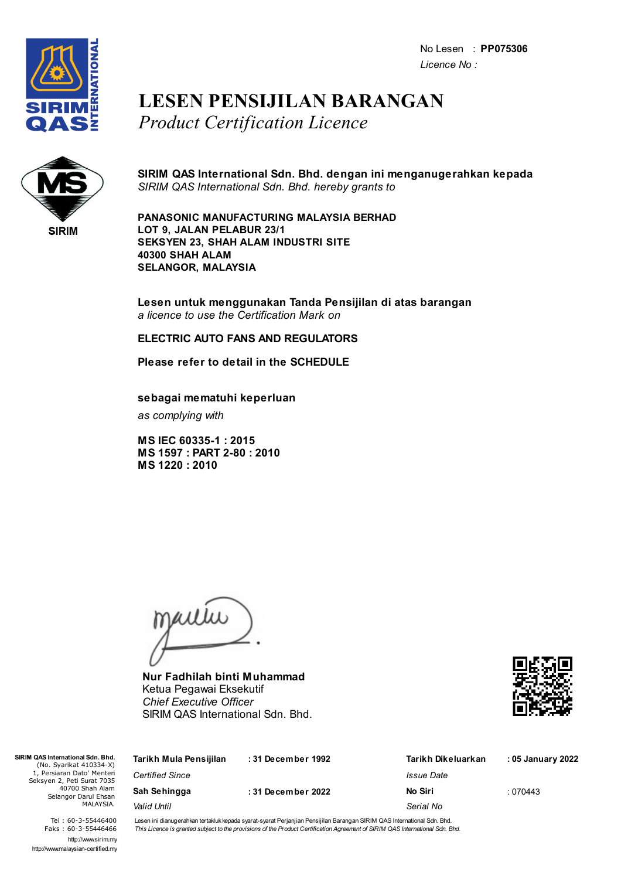No Lesen : **PP075306** *Licence No :*



## **LESEN PENSIJILAN BARANGAN** *Product Certification Licence*



**SIRIM QAS International Sdn. Bhd. dengan ini menganugerahkan kepada** *SIRIM QAS International Sdn. Bhd. hereby grants to*

**PANASONIC MANUFACTURING MALAYSIA BERHAD LOT 9, JALAN PELABUR 23/1 SEKSYEN 23, SHAH ALAM INDUSTRI SITE 40300 SHAH ALAM SELANGOR, MALAYSIA**

**Lesen untuk menggunakan Tanda Pensijilan di atas barangan** *a licence to use the Certification Mark on*

### **ELECTRIC AUTO FANS AND REGULATORS**

**Please refer to detail in the SCHEDULE**

**sebagai mematuhi keperluan**

*as complying with*

**MS IEC 60335-1 : 2015 MS 1597 : PART 2-80 : 2010 MS 1220 : 2010**

jailie

**Nur Fadhilah binti Muhammad** Ketua Pegawai Eksekutif *Chief Executive Officer* SIRIM QAS International Sdn. Bhd.



| SIRIM QAS International Sdn. Bhd.<br>(No. Syarikat 410334-X) | Tarikh Mula Pensijilan | :31 December 1992 | Tarikh Dikeluarkan | : 05 January 2022 |
|--------------------------------------------------------------|------------------------|-------------------|--------------------|-------------------|
| 1, Persiaran Dato' Menteri<br>Seksyen 2, Peti Surat 7035     | <b>Certified Since</b> |                   | Issue Date         |                   |
| 40700 Shah Alam<br>Selangor Darul Ehsan                      | Sah Sehingga           | :31 December 2022 | No Siri            | :070443           |
| MALAYSIA.                                                    | Valid Until            |                   | Serial No          |                   |

Tel : 60-3-55446400 Faks : 60-3-55446466 http://www.sirim.my http://www.malaysian-certified.my Lesen ini dianugerahkan tertakluk kepada syarat-syarat Perjanjian Pensijilan Barangan SIRIM QAS International Sdn. Bhd. This Licence is granted subject to the provisions of the Product Certification Agreement of SIRIM QAS International Sdn. Bhd.